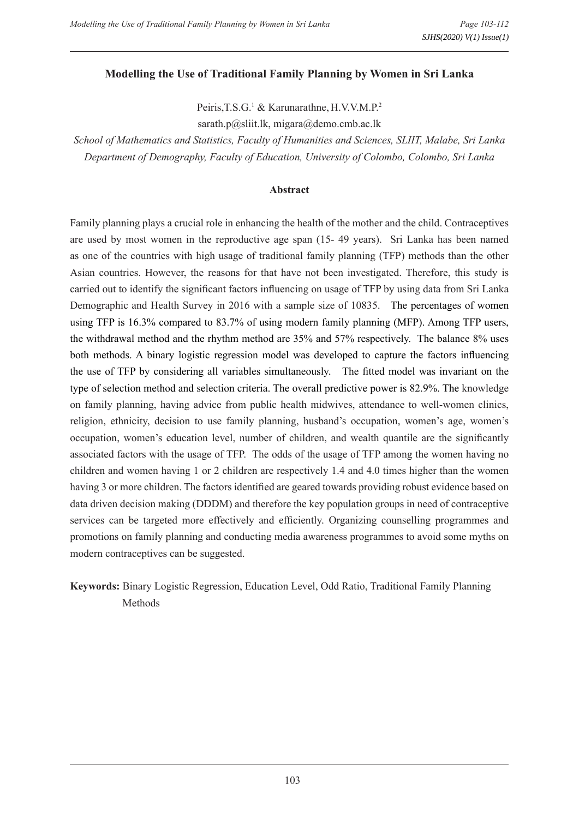#### **Modelling the Use of Traditional Family Planning by Women in Sri Lanka**

Peiris, T.S.G.<sup>1</sup> & Karunarathne, H.V.V.M.P.<sup>2</sup>

sarath.p@sliit.lk, migara@demo.cmb.ac.lk

*School of Mathematics and Statistics, Faculty of Humanities and Sciences, SLIIT, Malabe, Sri Lanka Department of Demography, Faculty of Education, University of Colombo, Colombo, Sri Lanka*

#### **Abstract**

Family planning plays a crucial role in enhancing the health of the mother and the child. Contraceptives are used by most women in the reproductive age span (15- 49 years). Sri Lanka has been named as one of the countries with high usage of traditional family planning (TFP) methods than the other Asian countries. However, the reasons for that have not been investigated. Therefore, this study is carried out to identify the significant factors influencing on usage of TFP by using data from Sri Lanka Demographic and Health Survey in 2016 with a sample size of 10835. The percentages of women using TFP is 16.3% compared to 83.7% of using modern family planning (MFP). Among TFP users, the withdrawal method and the rhythm method are 35% and 57% respectively. The balance 8% uses both methods. A binary logistic regression model was developed to capture the factors influencing the use of TFP by considering all variables simultaneously. The fitted model was invariant on the type of selection method and selection criteria. The overall predictive power is 82.9%. The knowledge on family planning, having advice from public health midwives, attendance to well-women clinics, religion, ethnicity, decision to use family planning, husband's occupation, women's age, women's occupation, women's education level, number of children, and wealth quantile are the significantly associated factors with the usage of TFP. The odds of the usage of TFP among the women having no children and women having 1 or 2 children are respectively 1.4 and 4.0 times higher than the women having 3 or more children. The factors identified are geared towards providing robust evidence based on data driven decision making (DDDM) and therefore the key population groups in need of contraceptive services can be targeted more effectively and efficiently. Organizing counselling programmes and promotions on family planning and conducting media awareness programmes to avoid some myths on modern contraceptives can be suggested.

**Keywords:** Binary Logistic Regression, Education Level, Odd Ratio, Traditional Family Planning Methods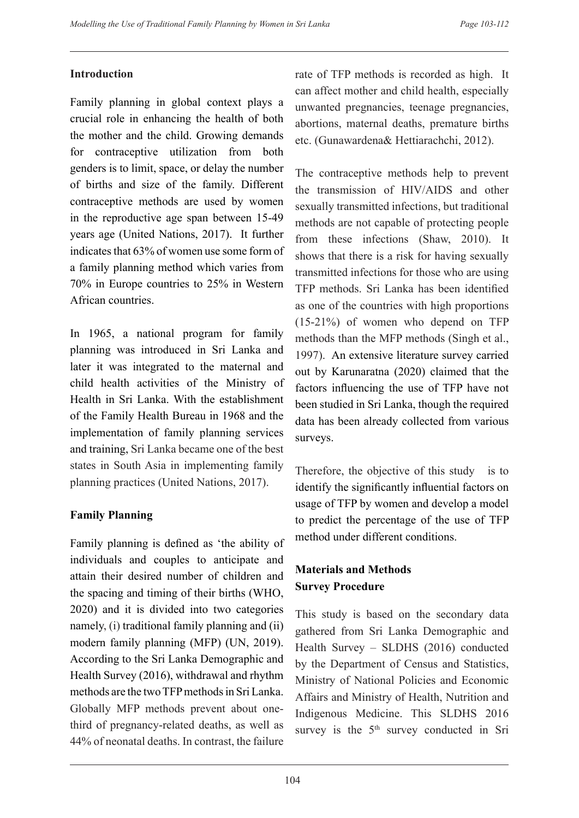### **Introduction**

Family planning in global context plays a crucial role in enhancing the health of both the mother and the child. Growing demands for contraceptive utilization from both genders is to limit, space, or delay the number of births and size of the family. Different contraceptive methods are used by women in the reproductive age span between 15-49 years age (United Nations, 2017). It further indicates that 63% of women use some form of a family planning method which varies from 70% in Europe countries to 25% in Western African countries.

In 1965, a national program for family planning was introduced in Sri Lanka and later it was integrated to the maternal and child health activities of the Ministry of Health in Sri Lanka. With the establishment of the Family Health Bureau in 1968 and the implementation of family planning services and training, Sri Lanka became one of the best states in South Asia in implementing family planning practices (United Nations, 2017).

# **Family Planning**

Family planning is defined as 'the ability of individuals and couples to anticipate and attain their desired number of children and the spacing and timing of their births (WHO, 2020) and it is divided into two categories namely, (i) traditional family planning and (ii) modern family planning (MFP) (UN, 2019). According to the Sri Lanka Demographic and Health Survey (2016), withdrawal and rhythm methods are the two TFP methods in Sri Lanka. Globally MFP methods prevent about onethird of pregnancy-related deaths, as well as 44% of neonatal deaths. In contrast, the failure

rate of TFP methods is recorded as high. It can affect mother and child health, especially unwanted pregnancies, teenage pregnancies, abortions, maternal deaths, premature births etc. (Gunawardena& Hettiarachchi, 2012).

The contraceptive methods help to prevent the transmission of HIV/AIDS and other sexually transmitted infections, but traditional methods are not capable of protecting people from these infections (Shaw, 2010). It shows that there is a risk for having sexually transmitted infections for those who are using TFP methods. Sri Lanka has been identified as one of the countries with high proportions (15-21%) of women who depend on TFP methods than the MFP methods (Singh et al., 1997). An extensive literature survey carried out by Karunaratna (2020) claimed that the factors influencing the use of TFP have not been studied in Sri Lanka, though the required data has been already collected from various surveys.

Therefore, the objective of this study is to identify the significantly influential factors on usage of TFP by women and develop a model to predict the percentage of the use of TFP method under different conditions.

# **Materials and Methods Survey Procedure**

This study is based on the secondary data gathered from Sri Lanka Demographic and Health Survey – SLDHS (2016) conducted by the Department of Census and Statistics, Ministry of National Policies and Economic Affairs and Ministry of Health, Nutrition and Indigenous Medicine. This SLDHS 2016 survey is the  $5<sup>th</sup>$  survey conducted in Sri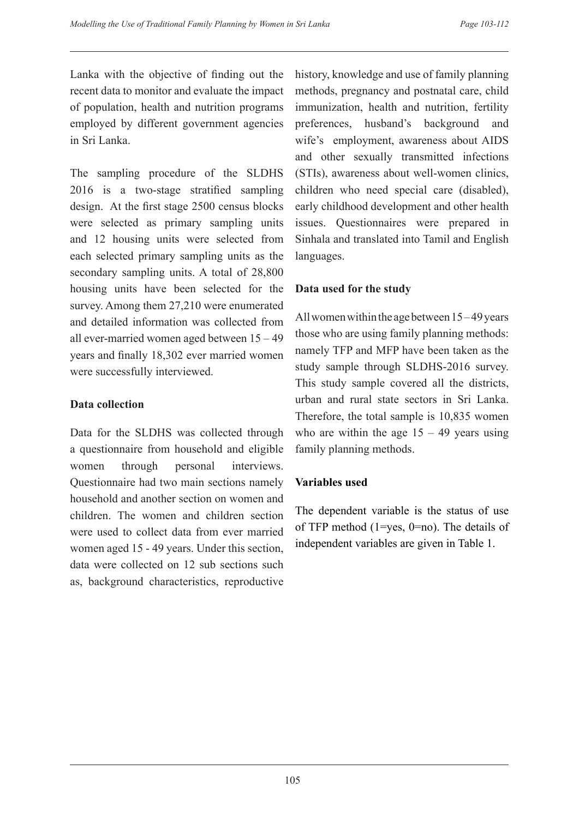Lanka with the objective of finding out the recent data to monitor and evaluate the impact of population, health and nutrition programs employed by different government agencies in Sri Lanka.

The sampling procedure of the SLDHS 2016 is a two-stage stratified sampling design. At the first stage 2500 census blocks were selected as primary sampling units and 12 housing units were selected from each selected primary sampling units as the secondary sampling units. A total of 28,800 housing units have been selected for the survey. Among them 27,210 were enumerated and detailed information was collected from all ever-married women aged between 15 – 49 years and finally 18,302 ever married women were successfully interviewed.

### **Data collection**

Data for the SLDHS was collected through a questionnaire from household and eligible women through personal interviews. Questionnaire had two main sections namely household and another section on women and children. The women and children section were used to collect data from ever married women aged 15 - 49 years. Under this section, data were collected on 12 sub sections such as, background characteristics, reproductive history, knowledge and use of family planning methods, pregnancy and postnatal care, child immunization, health and nutrition, fertility preferences, husband's background and wife's employment, awareness about AIDS and other sexually transmitted infections (STIs), awareness about well-women clinics, children who need special care (disabled), early childhood development and other health issues. Questionnaires were prepared in Sinhala and translated into Tamil and English languages.

### **Data used for the study**

All women within the age between 15 – 49 years those who are using family planning methods: namely TFP and MFP have been taken as the study sample through SLDHS-2016 survey. This study sample covered all the districts, urban and rural state sectors in Sri Lanka. Therefore, the total sample is 10,835 women who are within the age  $15 - 49$  years using family planning methods.

### **Variables used**

The dependent variable is the status of use of TFP method (1=yes, 0=no). The details of independent variables are given in Table 1.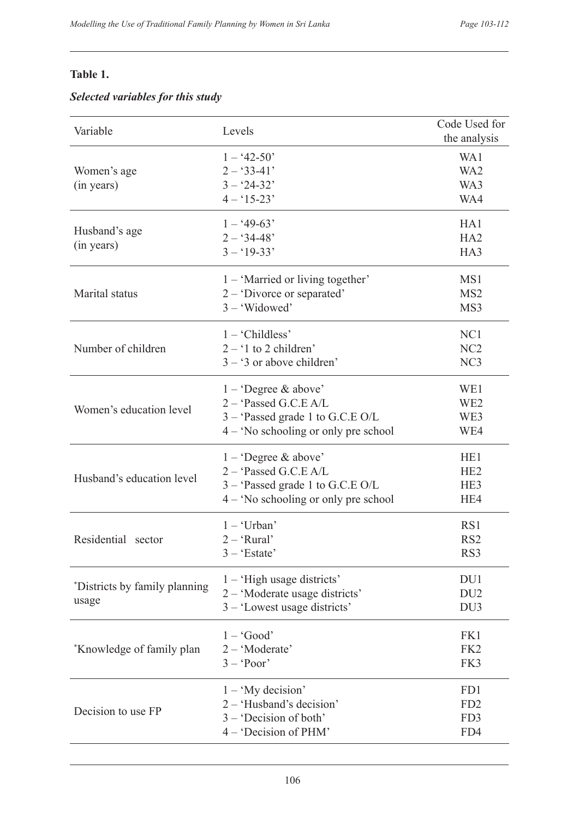# **Table 1.**

# *Selected variables for this study*

| Variable                      | Levels                                 | Code Used for<br>the analysis |
|-------------------------------|----------------------------------------|-------------------------------|
|                               | $1 - 42 - 50'$                         | WA1                           |
| Women's age                   | $2 - 33 - 41'$                         | WA <sub>2</sub>               |
| (in years)                    | $3 - 24 - 32'$                         | WA3                           |
|                               | $4 - 15 - 23'$                         | WA4                           |
| Husband's age                 | $1 - 49 - 63'$                         | HA1                           |
| (in years)                    | $2 - 34 - 48'$                         | HA <sub>2</sub>               |
|                               | $3 - 19 - 33'$                         | HA3                           |
|                               | 1 – 'Married or living together'       | MS1                           |
| Marital status                | $2 -$ Divorce or separated             | MS <sub>2</sub>               |
|                               | $3 - 'Widowed'$                        | MS3                           |
|                               | $1 - 'Childless'$                      | NC1                           |
| Number of children            | $2 - 1$ to 2 children'                 | NC <sub>2</sub>               |
|                               | $3 - 3$ or above children'             | NC <sub>3</sub>               |
|                               | $1 -$ Degree & above'                  | WE1                           |
| Women's education level       | 2 - 'Passed G.C.E A/L                  | WE <sub>2</sub>               |
|                               | $3 -$ Passed grade 1 to G.C.E O/L      | WE3                           |
|                               | $4 -$ 'No schooling or only pre school | WE4                           |
|                               | $1 -$ Degree & above'                  | HE <sub>1</sub>               |
| Husband's education level     | 2 - 'Passed G.C.E A/L                  | HE <sub>2</sub>               |
|                               | $3 -$ Passed grade 1 to G.C.E O/L      | HE3                           |
|                               | $4 -$ 'No schooling or only pre school | HE4                           |
|                               | $1 - 'Urban'$                          | RS1                           |
| Residential sector            | $2 - 'Rural'$                          | RS <sub>2</sub>               |
|                               | $3 - 'Estate'$                         | RS3                           |
| *Districts by family planning | $1 - 'High usage districts'$           | DU1                           |
|                               | 2 - 'Moderate usage districts'         | DU <sub>2</sub>               |
| usage                         | 3 – 'Lowest usage districts'           | DU <sub>3</sub>               |
|                               | $1 - 'Good'$                           | FK1                           |
| *Knowledge of family plan     | 2 - 'Moderate'                         | FK <sub>2</sub>               |
|                               | $3 - 'Poor'$                           | FK3                           |
|                               | $1 - 'My decision'$                    | FD1                           |
| Decision to use FP            | 2 - 'Husband's decision'               | FD <sub>2</sub>               |
|                               | $3 -$ Decision of both'                | FD3                           |
|                               | 4 - 'Decision of PHM'                  | FD4                           |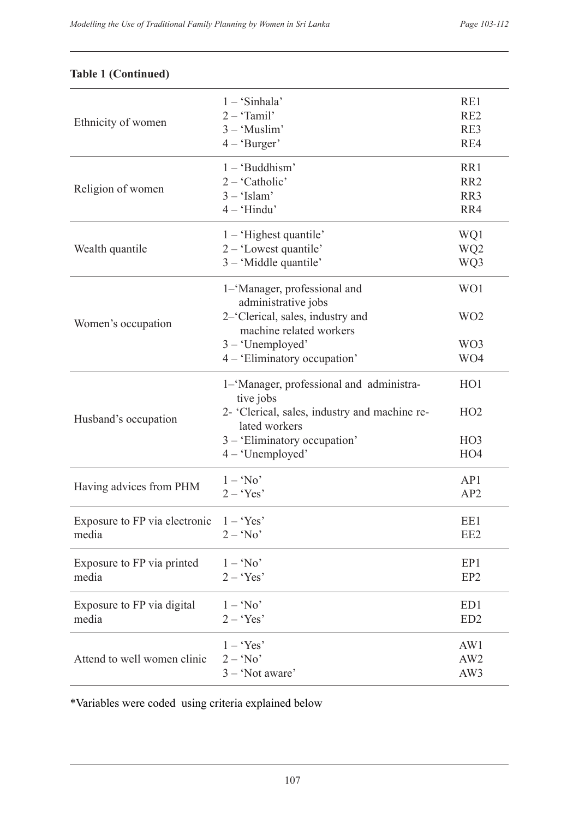| $2 - 'Tamil'$<br>RE <sub>2</sub><br>Ethnicity of women<br>$3 - 'Muslim'$<br>RE3<br>$4 - 'Burger'$<br>RE4<br>$1 - 'Buddhism'$<br>RR1<br>$2 - 'Catholic'$<br>RR <sub>2</sub><br>Religion of women<br>$3 - 'Islam'$<br>RR3<br>$4 - 'Hindu'$<br>RR4<br>$1 - 'Higher quantile'$<br>WQ1<br>2 - 'Lowest quantile'<br>WQ <sub>2</sub><br>Wealth quantile<br>$3 - 'Middle$ quantile'<br>WQ3<br>WO1<br>1–'Manager, professional and<br>administrative jobs<br>2–'Clerical, sales, industry and<br>WO <sub>2</sub><br>Women's occupation<br>machine related workers<br>$3 - 'Unemployed'$<br>WO3<br>4 - 'Eliminatory occupation'<br>WO4<br>1-'Manager, professional and administra-<br>H <sub>O</sub> 1<br>tive jobs<br>2- 'Clerical, sales, industry and machine re-<br>HO2<br>Husband's occupation<br>lated workers<br>3 - 'Eliminatory occupation'<br>HO <sub>3</sub><br>$4 - 'Unemployed'$<br>HO <sub>4</sub><br>$1 - 'No'$<br>AP1<br>Having advices from PHM<br>$2 - 'Yes'$<br>AP2<br>Exposure to FP via electronic<br>$1 - 'Yes'$<br>EE1<br>EE <sub>2</sub><br>$2 - 'No'$<br>media<br>$1 - 'No'$<br>EP1<br>Exposure to FP via printed<br>EP <sub>2</sub><br>media<br>$2 - 'Yes'$<br>Exposure to FP via digital<br>$1 - 'No'$<br>ED1<br>media<br>$2 - 'Yes'$<br>ED <sub>2</sub><br>$1 - 'Yes'$<br>AW1<br>$2 - 'No'$<br>AW <sub>2</sub><br>Attend to well women clinic<br>$3 - 'Not aware'$<br>AW3 |  | $1 - 'Sinhala'$ | RE1 |
|---------------------------------------------------------------------------------------------------------------------------------------------------------------------------------------------------------------------------------------------------------------------------------------------------------------------------------------------------------------------------------------------------------------------------------------------------------------------------------------------------------------------------------------------------------------------------------------------------------------------------------------------------------------------------------------------------------------------------------------------------------------------------------------------------------------------------------------------------------------------------------------------------------------------------------------------------------------------------------------------------------------------------------------------------------------------------------------------------------------------------------------------------------------------------------------------------------------------------------------------------------------------------------------------------------------------------------------------------------------------------------------------|--|-----------------|-----|
|                                                                                                                                                                                                                                                                                                                                                                                                                                                                                                                                                                                                                                                                                                                                                                                                                                                                                                                                                                                                                                                                                                                                                                                                                                                                                                                                                                                             |  |                 |     |
|                                                                                                                                                                                                                                                                                                                                                                                                                                                                                                                                                                                                                                                                                                                                                                                                                                                                                                                                                                                                                                                                                                                                                                                                                                                                                                                                                                                             |  |                 |     |
|                                                                                                                                                                                                                                                                                                                                                                                                                                                                                                                                                                                                                                                                                                                                                                                                                                                                                                                                                                                                                                                                                                                                                                                                                                                                                                                                                                                             |  |                 |     |
|                                                                                                                                                                                                                                                                                                                                                                                                                                                                                                                                                                                                                                                                                                                                                                                                                                                                                                                                                                                                                                                                                                                                                                                                                                                                                                                                                                                             |  |                 |     |
|                                                                                                                                                                                                                                                                                                                                                                                                                                                                                                                                                                                                                                                                                                                                                                                                                                                                                                                                                                                                                                                                                                                                                                                                                                                                                                                                                                                             |  |                 |     |
|                                                                                                                                                                                                                                                                                                                                                                                                                                                                                                                                                                                                                                                                                                                                                                                                                                                                                                                                                                                                                                                                                                                                                                                                                                                                                                                                                                                             |  |                 |     |
|                                                                                                                                                                                                                                                                                                                                                                                                                                                                                                                                                                                                                                                                                                                                                                                                                                                                                                                                                                                                                                                                                                                                                                                                                                                                                                                                                                                             |  |                 |     |
|                                                                                                                                                                                                                                                                                                                                                                                                                                                                                                                                                                                                                                                                                                                                                                                                                                                                                                                                                                                                                                                                                                                                                                                                                                                                                                                                                                                             |  |                 |     |
|                                                                                                                                                                                                                                                                                                                                                                                                                                                                                                                                                                                                                                                                                                                                                                                                                                                                                                                                                                                                                                                                                                                                                                                                                                                                                                                                                                                             |  |                 |     |
|                                                                                                                                                                                                                                                                                                                                                                                                                                                                                                                                                                                                                                                                                                                                                                                                                                                                                                                                                                                                                                                                                                                                                                                                                                                                                                                                                                                             |  |                 |     |
|                                                                                                                                                                                                                                                                                                                                                                                                                                                                                                                                                                                                                                                                                                                                                                                                                                                                                                                                                                                                                                                                                                                                                                                                                                                                                                                                                                                             |  |                 |     |
|                                                                                                                                                                                                                                                                                                                                                                                                                                                                                                                                                                                                                                                                                                                                                                                                                                                                                                                                                                                                                                                                                                                                                                                                                                                                                                                                                                                             |  |                 |     |
|                                                                                                                                                                                                                                                                                                                                                                                                                                                                                                                                                                                                                                                                                                                                                                                                                                                                                                                                                                                                                                                                                                                                                                                                                                                                                                                                                                                             |  |                 |     |
|                                                                                                                                                                                                                                                                                                                                                                                                                                                                                                                                                                                                                                                                                                                                                                                                                                                                                                                                                                                                                                                                                                                                                                                                                                                                                                                                                                                             |  |                 |     |
|                                                                                                                                                                                                                                                                                                                                                                                                                                                                                                                                                                                                                                                                                                                                                                                                                                                                                                                                                                                                                                                                                                                                                                                                                                                                                                                                                                                             |  |                 |     |
|                                                                                                                                                                                                                                                                                                                                                                                                                                                                                                                                                                                                                                                                                                                                                                                                                                                                                                                                                                                                                                                                                                                                                                                                                                                                                                                                                                                             |  |                 |     |
|                                                                                                                                                                                                                                                                                                                                                                                                                                                                                                                                                                                                                                                                                                                                                                                                                                                                                                                                                                                                                                                                                                                                                                                                                                                                                                                                                                                             |  |                 |     |
|                                                                                                                                                                                                                                                                                                                                                                                                                                                                                                                                                                                                                                                                                                                                                                                                                                                                                                                                                                                                                                                                                                                                                                                                                                                                                                                                                                                             |  |                 |     |
|                                                                                                                                                                                                                                                                                                                                                                                                                                                                                                                                                                                                                                                                                                                                                                                                                                                                                                                                                                                                                                                                                                                                                                                                                                                                                                                                                                                             |  |                 |     |
|                                                                                                                                                                                                                                                                                                                                                                                                                                                                                                                                                                                                                                                                                                                                                                                                                                                                                                                                                                                                                                                                                                                                                                                                                                                                                                                                                                                             |  |                 |     |
|                                                                                                                                                                                                                                                                                                                                                                                                                                                                                                                                                                                                                                                                                                                                                                                                                                                                                                                                                                                                                                                                                                                                                                                                                                                                                                                                                                                             |  |                 |     |
|                                                                                                                                                                                                                                                                                                                                                                                                                                                                                                                                                                                                                                                                                                                                                                                                                                                                                                                                                                                                                                                                                                                                                                                                                                                                                                                                                                                             |  |                 |     |
|                                                                                                                                                                                                                                                                                                                                                                                                                                                                                                                                                                                                                                                                                                                                                                                                                                                                                                                                                                                                                                                                                                                                                                                                                                                                                                                                                                                             |  |                 |     |
|                                                                                                                                                                                                                                                                                                                                                                                                                                                                                                                                                                                                                                                                                                                                                                                                                                                                                                                                                                                                                                                                                                                                                                                                                                                                                                                                                                                             |  |                 |     |
|                                                                                                                                                                                                                                                                                                                                                                                                                                                                                                                                                                                                                                                                                                                                                                                                                                                                                                                                                                                                                                                                                                                                                                                                                                                                                                                                                                                             |  |                 |     |
|                                                                                                                                                                                                                                                                                                                                                                                                                                                                                                                                                                                                                                                                                                                                                                                                                                                                                                                                                                                                                                                                                                                                                                                                                                                                                                                                                                                             |  |                 |     |
|                                                                                                                                                                                                                                                                                                                                                                                                                                                                                                                                                                                                                                                                                                                                                                                                                                                                                                                                                                                                                                                                                                                                                                                                                                                                                                                                                                                             |  |                 |     |
|                                                                                                                                                                                                                                                                                                                                                                                                                                                                                                                                                                                                                                                                                                                                                                                                                                                                                                                                                                                                                                                                                                                                                                                                                                                                                                                                                                                             |  |                 |     |
|                                                                                                                                                                                                                                                                                                                                                                                                                                                                                                                                                                                                                                                                                                                                                                                                                                                                                                                                                                                                                                                                                                                                                                                                                                                                                                                                                                                             |  |                 |     |
|                                                                                                                                                                                                                                                                                                                                                                                                                                                                                                                                                                                                                                                                                                                                                                                                                                                                                                                                                                                                                                                                                                                                                                                                                                                                                                                                                                                             |  |                 |     |
|                                                                                                                                                                                                                                                                                                                                                                                                                                                                                                                                                                                                                                                                                                                                                                                                                                                                                                                                                                                                                                                                                                                                                                                                                                                                                                                                                                                             |  |                 |     |

### **Table 1 (Continued)**

\*Variables were coded using criteria explained below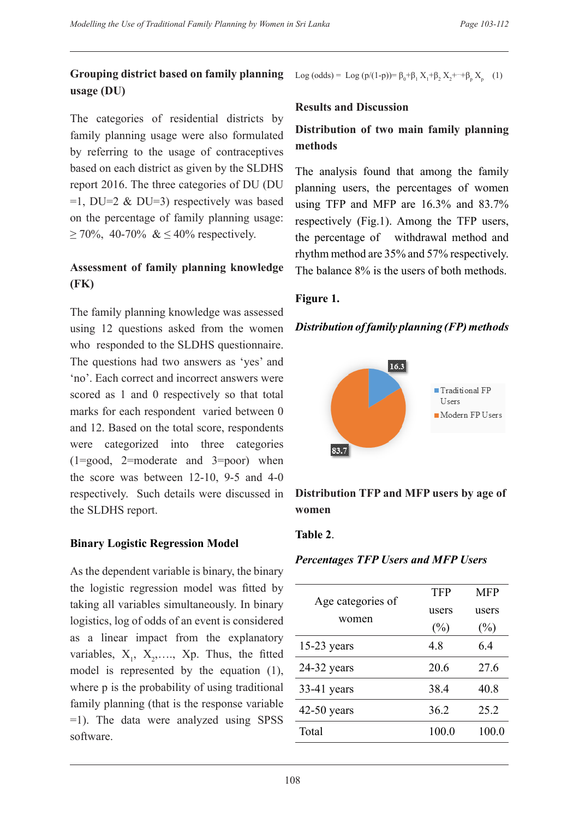# **Grouping district based on family planning usage (DU)**

The categories of residential districts by family planning usage were also formulated by referring to the usage of contraceptives based on each district as given by the SLDHS report 2016. The three categories of DU (DU  $=1$ , DU=2 & DU=3) respectively was based on the percentage of family planning usage:  $≥ 70\%$ , 40-70% & ≤ 40% respectively.

# **Assessment of family planning knowledge (FK)**

The family planning knowledge was assessed using 12 questions asked from the women who responded to the SLDHS questionnaire. The questions had two answers as 'yes' and 'no'. Each correct and incorrect answers were scored as 1 and 0 respectively so that total marks for each respondent varied between 0 and 12. Based on the total score, respondents were categorized into three categories (1=good, 2=moderate and 3=poor) when the score was between 12-10, 9-5 and 4-0 respectively. Such details were discussed in the SLDHS report.

# **Binary Logistic Regression Model**

As the dependent variable is binary, the binary the logistic regression model was fitted by taking all variables simultaneously. In binary logistics, log of odds of an event is considered as a linear impact from the explanatory variables,  $X_1, X_2, \ldots, X_p$ . Thus, the fitted model is represented by the equation (1), where p is the probability of using traditional family planning (that is the response variable =1). The data were analyzed using SPSS software.

Log (odds) = Log (p/(1-p))=  $\beta_0 + \beta_1 X_1 + \beta_2 X_2 + \cdots + \beta_p X_p$  (1)

#### **Results and Discussion**

# **Distribution of two main family planning methods**

The analysis found that among the family planning users, the percentages of women using TFP and MFP are 16.3% and 83.7% respectively (Fig.1). Among the TFP users, the percentage of withdrawal method and rhythm method are 35% and 57% respectively. The balance 8% is the users of both methods.

### **Figure 1.**

### *Distribution of family planning (FP) methods*



# **Distribution TFP and MFP users by age of women**

### **Table 2**.

### *Percentages TFP Users and MFP Users*

|                            | <b>TFP</b>      | <b>MFP</b>      |
|----------------------------|-----------------|-----------------|
| Age categories of<br>women | users<br>$(\%)$ | users<br>$(\%)$ |
| $15-23$ years              | 48              | 64              |
| $24-32$ years              | 20.6            | 27.6            |
| $33-41$ years              | 38.4            | 40.8            |
| $42-50$ years              | 36.2            | 25.2            |
| Total                      | 100.0           | 100.0           |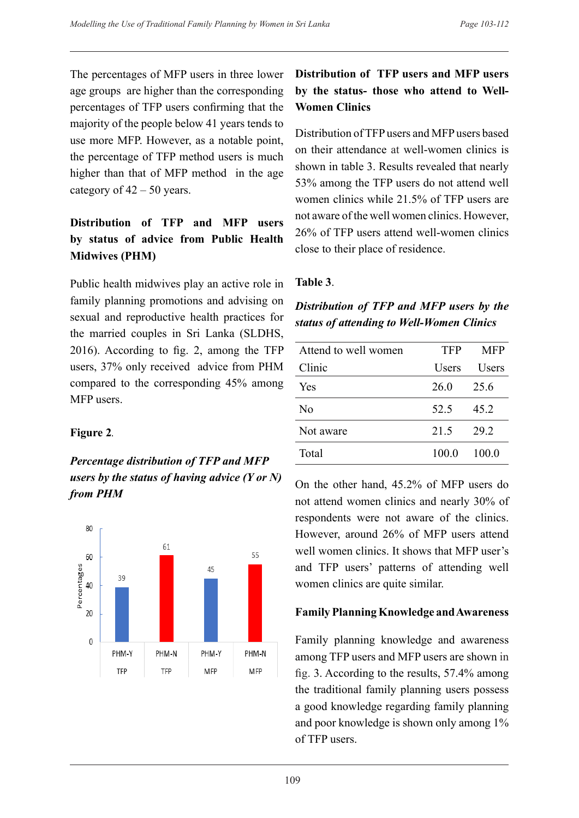The percentages of MFP users in three lower age groups are higher than the corresponding percentages of TFP users confirming that the majority of the people below 41 years tends to use more MFP. However, as a notable point, the percentage of TFP method users is much higher than that of MFP method in the age category of  $42 - 50$  years.

# **Distribution of TFP and MFP users by status of advice from Public Health Midwives (PHM)**

Public health midwives play an active role in family planning promotions and advising on sexual and reproductive health practices for the married couples in Sri Lanka (SLDHS, 2016). According to fig. 2, among the TFP users, 37% only received advice from PHM compared to the corresponding 45% among MFP users.

### **Figure 2***.*

# *Percentage distribution of TFP and MFP users by the status of having advice (Y or N) from PHM*



# **Distribution of TFP users and MFP users by the status- those who attend to Well-Women Clinics**

Distribution of TFP users and MFP users based on their attendance at well-women clinics is shown in table 3. Results revealed that nearly 53% among the TFP users do not attend well women clinics while 21.5% of TFP users are not aware of the well women clinics. However, 26% of TFP users attend well-women clinics close to their place of residence.

### **Table 3**.

### *Distribution of TFP and MFP users by the status of attending to Well-Women Clinics*

| Attend to well women | <b>TFP</b> | <b>MFP</b> |
|----------------------|------------|------------|
| Clinic               | Users      | Users      |
| Yes                  | 26.0       | 25.6       |
| N <sub>0</sub>       | 52.5       | 45.2       |
| Not aware            | 21.5       | 29.2       |
| Total                | 100.0      | 100.0      |

On the other hand, 45.2% of MFP users do not attend women clinics and nearly 30% of respondents were not aware of the clinics. However, around 26% of MFP users attend well women clinics. It shows that MFP user's and TFP users' patterns of attending well women clinics are quite similar.

# **Family Planning Knowledge and Awareness**

Family planning knowledge and awareness among TFP users and MFP users are shown in fig. 3. According to the results, 57.4% among the traditional family planning users possess a good knowledge regarding family planning and poor knowledge is shown only among 1% of TFP users.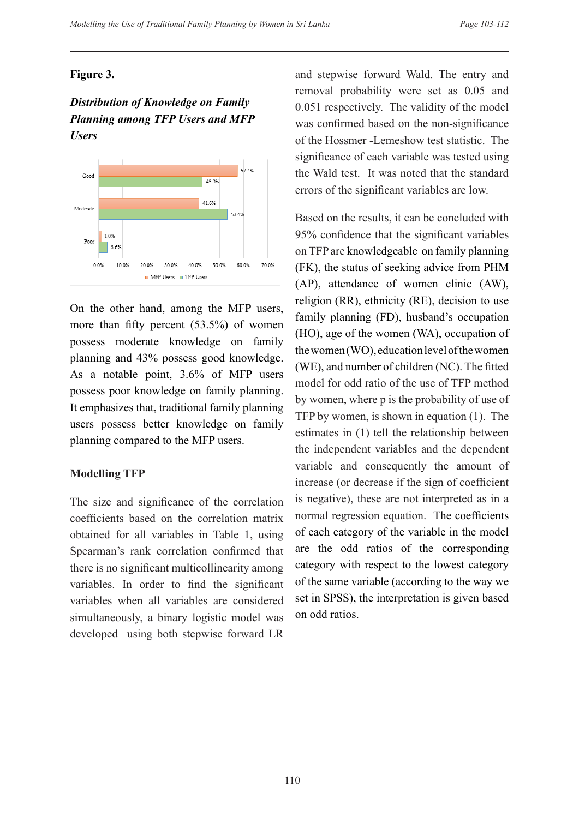### **Figure 3.**

# *Distribution of Knowledge on Family Planning among TFP Users and MFP Users*



On the other hand, among the MFP users, more than fifty percent (53.5%) of women possess moderate knowledge on family planning and 43% possess good knowledge. As a notable point, 3.6% of MFP users possess poor knowledge on family planning. It emphasizes that, traditional family planning users possess better knowledge on family planning compared to the MFP users.

# **Modelling TFP**

The size and significance of the correlation coefficients based on the correlation matrix obtained for all variables in Table 1, using Spearman's rank correlation confirmed that there is no significant multicollinearity among variables. In order to find the significant variables when all variables are considered simultaneously, a binary logistic model was developed using both stepwise forward LR and stepwise forward Wald. The entry and removal probability were set as 0.05 and 0.051 respectively. The validity of the model was confirmed based on the non-significance of the Hossmer -Lemeshow test statistic. The significance of each variable was tested using the Wald test. It was noted that the standard errors of the significant variables are low.

Based on the results, it can be concluded with 95% confidence that the significant variables on TFP are knowledgeable on family planning (FK), the status of seeking advice from PHM (AP), attendance of women clinic (AW), religion (RR), ethnicity (RE), decision to use family planning (FD), husband's occupation (HO), age of the women (WA), occupation of the women (WO), education level of the women (WE), and number of children (NC). The fitted model for odd ratio of the use of TFP method by women, where p is the probability of use of TFP by women, is shown in equation (1). The estimates in (1) tell the relationship between the independent variables and the dependent variable and consequently the amount of increase (or decrease if the sign of coefficient is negative), these are not interpreted as in a normal regression equation. The coefficients of each category of the variable in the model are the odd ratios of the corresponding category with respect to the lowest category of the same variable (according to the way we set in SPSS), the interpretation is given based on odd ratios.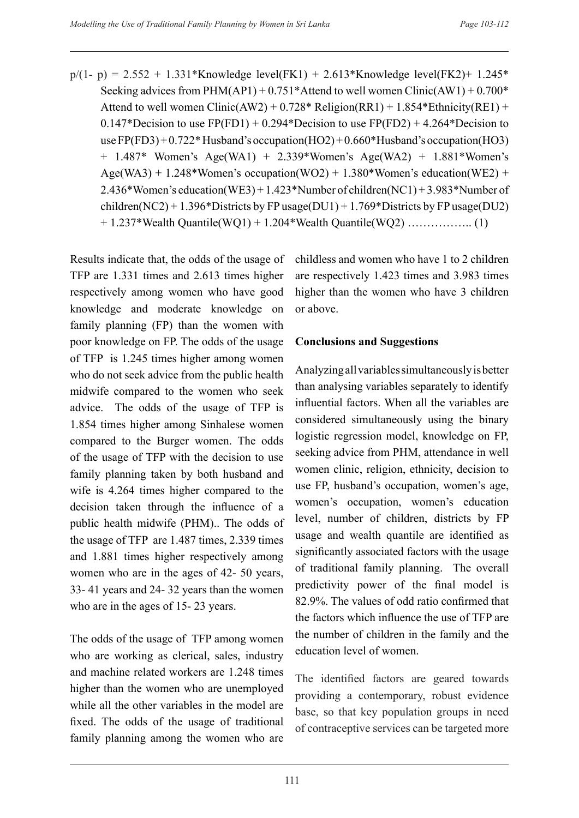$p/(1-p) = 2.552 + 1.331*$ Knowledge level(FK1) + 2.613\*Knowledge level(FK2) + 1.245\* Seeking advices from PHM(AP1) +  $0.751*$ Attend to well women Clinic(AW1) +  $0.700*$ Attend to well women Clinic(AW2) +  $0.728*$  Religion(RR1) + 1.854\*Ethnicity(RE1) +  $0.147*$ Decision to use FP(FD1) + 0.294\*Decision to use FP(FD2) + 4.264\*Decision to use  $FP(FD3) + 0.722*$  Husband's occupation(HO2) + 0.660\* Husband's occupation(HO3) + 1.487\* Women's Age(WA1) + 2.339\*Women's Age(WA2) + 1.881\*Women's Age(WA3) + 1.248\*Women's occupation(WO2) + 1.380\*Women's education(WE2) + 2.436\*Women's education(WE3) + 1.423\*Number of children(NC1) + 3.983\*Number of children(NC2) + 1.396\*Districts by FP usage(DU1) + 1.769\*Districts by FP usage(DU2) + 1.237\*Wealth Quantile(WQ1) + 1.204\*Wealth Quantile(WQ2) …………….. (1)

Results indicate that, the odds of the usage of TFP are 1.331 times and 2.613 times higher respectively among women who have good knowledge and moderate knowledge on family planning (FP) than the women with poor knowledge on FP. The odds of the usage of TFP is 1.245 times higher among women who do not seek advice from the public health midwife compared to the women who seek advice. The odds of the usage of TFP is 1.854 times higher among Sinhalese women compared to the Burger women. The odds of the usage of TFP with the decision to use family planning taken by both husband and wife is 4.264 times higher compared to the decision taken through the influence of a public health midwife (PHM).. The odds of the usage of TFP are 1.487 times, 2.339 times and 1.881 times higher respectively among women who are in the ages of 42- 50 years, 33- 41 years and 24- 32 years than the women who are in the ages of 15- 23 years.

The odds of the usage of TFP among women who are working as clerical, sales, industry and machine related workers are 1.248 times higher than the women who are unemployed while all the other variables in the model are fixed. The odds of the usage of traditional family planning among the women who are

childless and women who have 1 to 2 children are respectively 1.423 times and 3.983 times higher than the women who have 3 children or above.

### **Conclusions and Suggestions**

Analyzing all variables simultaneously is better than analysing variables separately to identify influential factors. When all the variables are considered simultaneously using the binary logistic regression model, knowledge on FP, seeking advice from PHM, attendance in well women clinic, religion, ethnicity, decision to use FP, husband's occupation, women's age, women's occupation, women's education level, number of children, districts by FP usage and wealth quantile are identified as significantly associated factors with the usage of traditional family planning. The overall predictivity power of the final model is 82.9%. The values of odd ratio confirmed that the factors which influence the use of TFP are the number of children in the family and the education level of women.

The identified factors are geared towards providing a contemporary, robust evidence base, so that key population groups in need of contraceptive services can be targeted more